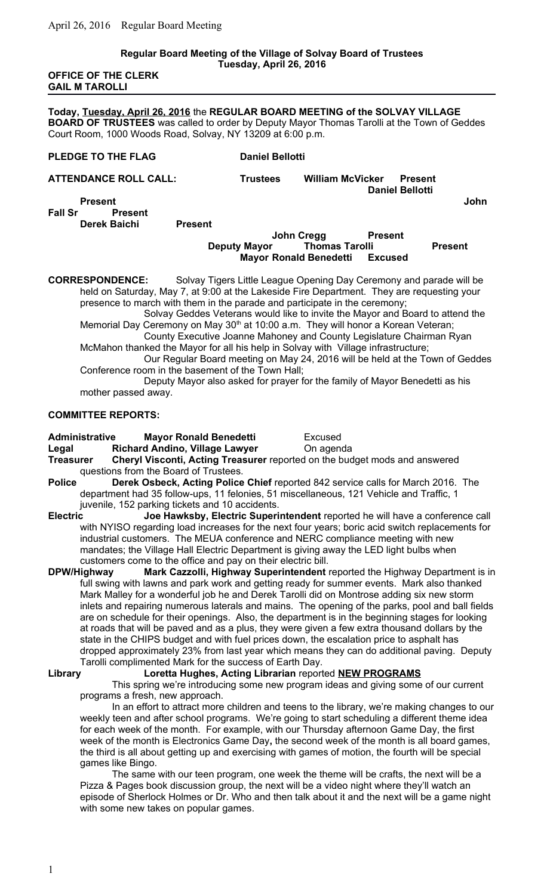#### **Regular Board Meeting of the Village of Solvay Board of Trustees Tuesday, April 26, 2016**

**OFFICE OF THE CLERK GAIL M TAROLLI**

**Today, Tuesday, April 26, 2016** the **REGULAR BOARD MEETING of the SOLVAY VILLAGE BOARD OF TRUSTEES** was called to order by Deputy Mayor Thomas Tarolli at the Town of Geddes Court Room, 1000 Woods Road, Solvay, NY 13209 at 6:00 p.m.

### **PLEDGE TO THE FLAG** Daniel Bellotti

**ATTENDANCE ROLL CALL: Trustees William McVicker Present Daniel Bellotti Present John** 

**Fall Sr Present Derek Baichi Present**

## **John Cregg Present**<br>Deputy Mayor Thomas Tarolli **Deputy Mayor Thomas Tarolli Present Mayor Ronald Benedetti Excused**

**CORRESPONDENCE:** Solvay Tigers Little League Opening Day Ceremony and parade will be held on Saturday, May 7, at 9:00 at the Lakeside Fire Department. They are requesting your presence to march with them in the parade and participate in the ceremony;

Solvay Geddes Veterans would like to invite the Mayor and Board to attend the Memorial Day Ceremony on May  $30<sup>th</sup>$  at 10:00 a.m. They will honor a Korean Veteran;

County Executive Joanne Mahoney and County Legislature Chairman Ryan McMahon thanked the Mayor for all his help in Solvay with Village infrastructure;

Our Regular Board meeting on May 24, 2016 will be held at the Town of Geddes Conference room in the basement of the Town Hall;

Deputy Mayor also asked for prayer for the family of Mayor Benedetti as his mother passed away.

#### **COMMITTEE REPORTS:**

**Administrative Mayor Ronald Benedetti** Excused

**Legal Richard Andino, Village Lawyer** On agenda

**Treasurer Cheryl Visconti, Acting Treasurer** reported on the budget mods and answered questions from the Board of Trustees.

**Police Derek Osbeck, Acting Police Chief** reported 842 service calls for March 2016. The department had 35 follow-ups, 11 felonies, 51 miscellaneous, 121 Vehicle and Traffic, 1 juvenile, 152 parking tickets and 10 accidents.

**Electric Joe Hawksby, Electric Superintendent** reported he will have a conference call with NYISO regarding load increases for the next four years; boric acid switch replacements for industrial customers. The MEUA conference and NERC compliance meeting with new mandates; the Village Hall Electric Department is giving away the LED light bulbs when customers come to the office and pay on their electric bill.

**DPW/Highway Mark Cazzolli, Highway Superintendent** reported the Highway Department is in full swing with lawns and park work and getting ready for summer events. Mark also thanked Mark Malley for a wonderful job he and Derek Tarolli did on Montrose adding six new storm inlets and repairing numerous laterals and mains. The opening of the parks, pool and ball fields are on schedule for their openings. Also, the department is in the beginning stages for looking at roads that will be paved and as a plus, they were given a few extra thousand dollars by the state in the CHIPS budget and with fuel prices down, the escalation price to asphalt has dropped approximately 23% from last year which means they can do additional paving. Deputy Tarolli complimented Mark for the success of Earth Day.

### **Library Loretta Hughes, Acting Librarian** reported **NEW PROGRAMS**

This spring we're introducing some new program ideas and giving some of our current programs a fresh, new approach.

In an effort to attract more children and teens to the library, we're making changes to our weekly teen and after school programs. We're going to start scheduling a different theme idea for each week of the month. For example, with our Thursday afternoon Game Day, the first week of the month is Electronics Game Day**,** the second week of the month is all board games, the third is all about getting up and exercising with games of motion, the fourth will be special games like Bingo.

The same with our teen program, one week the theme will be crafts, the next will be a Pizza & Pages book discussion group, the next will be a video night where they'll watch an episode of Sherlock Holmes or Dr. Who and then talk about it and the next will be a game night with some new takes on popular games.

1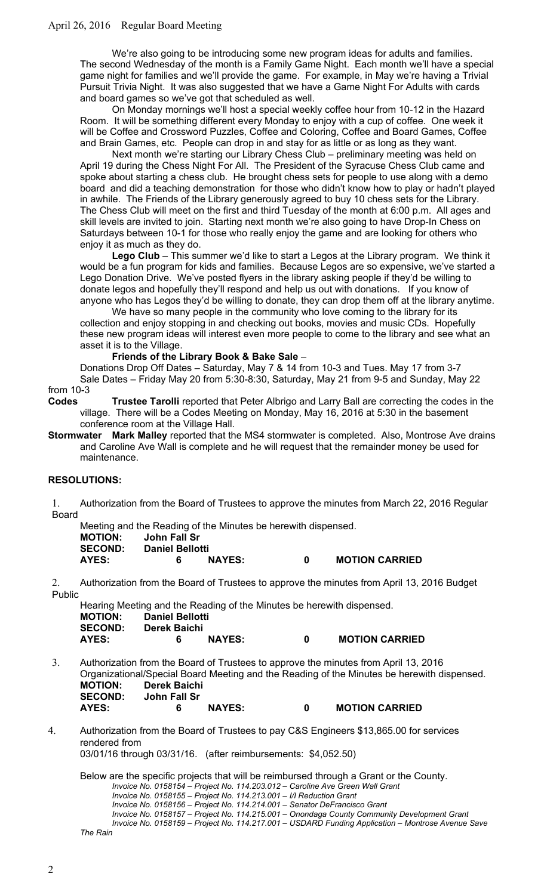We're also going to be introducing some new program ideas for adults and families. The second Wednesday of the month is a Family Game Night. Each month we'll have a special game night for families and we'll provide the game. For example, in May we're having a Trivial Pursuit Trivia Night. It was also suggested that we have a Game Night For Adults with cards and board games so we've got that scheduled as well.

On Monday mornings we'll host a special weekly coffee hour from 10-12 in the Hazard Room. It will be something different every Monday to enjoy with a cup of coffee. One week it will be Coffee and Crossword Puzzles, Coffee and Coloring, Coffee and Board Games, Coffee and Brain Games, etc. People can drop in and stay for as little or as long as they want.

Next month we're starting our Library Chess Club – preliminary meeting was held on April 19 during the Chess Night For All. The President of the Syracuse Chess Club came and spoke about starting a chess club. He brought chess sets for people to use along with a demo board and did a teaching demonstration for those who didn't know how to play or hadn't played in awhile. The Friends of the Library generously agreed to buy 10 chess sets for the Library. The Chess Club will meet on the first and third Tuesday of the month at 6:00 p.m. All ages and skill levels are invited to join. Starting next month we're also going to have Drop-In Chess on Saturdays between 10-1 for those who really enjoy the game and are looking for others who enjoy it as much as they do.

**Lego Club** – This summer we'd like to start a Legos at the Library program. We think it would be a fun program for kids and families. Because Legos are so expensive, we've started a Lego Donation Drive. We've posted flyers in the library asking people if they'd be willing to donate legos and hopefully they'll respond and help us out with donations. If you know of anyone who has Legos they'd be willing to donate, they can drop them off at the library anytime.

We have so many people in the community who love coming to the library for its collection and enjoy stopping in and checking out books, movies and music CDs. Hopefully these new program ideas will interest even more people to come to the library and see what an asset it is to the Village.

**Friends of the Library Book & Bake Sale** –

Donations Drop Off Dates – Saturday, May 7 & 14 from 10-3 and Tues. May 17 from 3-7 Sale Dates – Friday May 20 from 5:30-8:30, Saturday, May 21 from 9-5 and Sunday, May 22

from 10-3<br>Codes

**Codes Trustee Tarolli** reported that Peter Albrigo and Larry Ball are correcting the codes in the village. There will be a Codes Meeting on Monday, May 16, 2016 at 5:30 in the basement conference room at the Village Hall.

**Stormwater Mark Malley** reported that the MS4 stormwater is completed. Also, Montrose Ave drains and Caroline Ave Wall is complete and he will request that the remainder money be used for maintenance.

### **RESOLUTIONS:**

1. Authorization from the Board of Trustees to approve the minutes from March 22, 2016 Regular Board

Meeting and the Reading of the Minutes be herewith dispensed. **MOTION: John Fall Sr SECOND: Daniel Bellotti AYES: 6 NAYES: 0 MOTION CARRIED**

2. Authorization from the Board of Trustees to approve the minutes from April 13, 2016 Budget Public

Hearing Meeting and the Reading of the Minutes be herewith dispensed. **MOTION: Daniel Bellotti SECOND: Derek Baichi AYES: 6 NAYES: 0 MOTION CARRIED**

3. Authorization from the Board of Trustees to approve the minutes from April 13, 2016 Organizational/Special Board Meeting and the Reading of the Minutes be herewith dispensed. **MOTION: Derek Baichi John Fall Sr AYES: 6 NAYES: 0 MOTION CARRIED**

4. Authorization from the Board of Trustees to pay C&S Engineers \$13,865.00 for services rendered from 03/01/16 through 03/31/16. (after reimbursements: \$4,052.50)

Below are the specific projects that will be reimbursed through a Grant or the County. *Invoice No. 0158154 – Project No. 114.203.012 – Caroline Ave Green Wall Grant*

*Invoice No. 0158155 – Project No. 114.213.001 – I/I Reduction Grant*

*Invoice No. 0158156 – Project No. 114.214.001 – Senator DeFrancisco Grant*

*Invoice No. 0158157 – Project No. 114.215.001 – Onondaga County Community Development Grant*

*Invoice No. 0158159 – Project No. 114.217.001 – USDARD Funding Application – Montrose Avenue Save* 

*The Rain*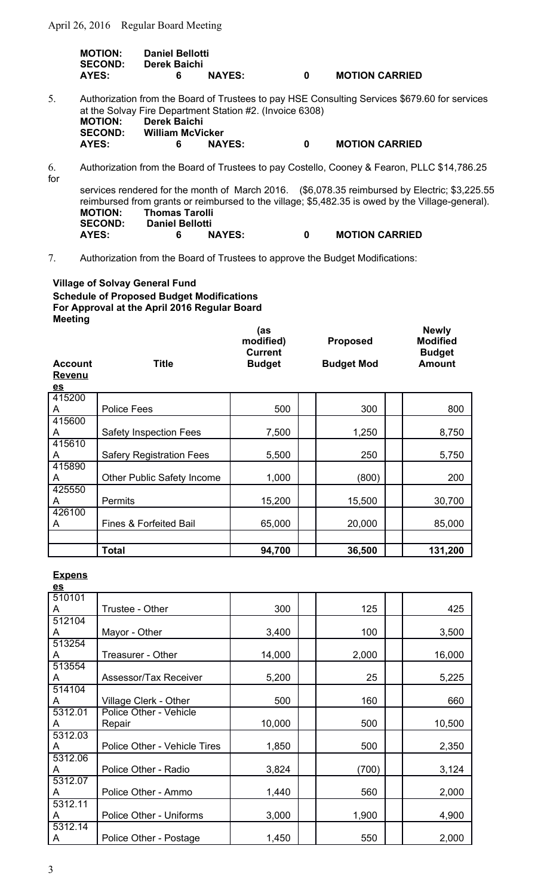April 26, 2016 Regular Board Meeting

| <b>MOTION:</b><br><b>SECOND:</b> | <b>Daniel Bellotti</b><br>Derek Baichi |               |   |                       |
|----------------------------------|----------------------------------------|---------------|---|-----------------------|
| AYES:                            | 6.                                     | <b>NAYES:</b> | n | <b>MOTION CARRIED</b> |

- 5. Authorization from the Board of Trustees to pay HSE Consulting Services \$679.60 for services at the Solvay Fire Department Station #2. (Invoice 6308)  **MOTION: Derek Baichi SECOND: William McVicker AYES: 6 NAYES: 0 MOTION CARRIED**
- 6. Authorization from the Board of Trustees to pay Costello, Cooney & Fearon, PLLC \$14,786.25 for

services rendered for the month of March 2016. (\$6,078.35 reimbursed by Electric; \$3,225.55 reimbursed from grants or reimbursed to the village; \$5,482.35 is owed by the Village-general). **MOTION: Thomas Tarolli SECOND: Daniel Bellotti AYES: 6 NAYES: 0 MOTION CARRIED**

**Newly**

7. Authorization from the Board of Trustees to approve the Budget Modifications:

**Village of Solvay General Fund Schedule of Proposed Budget Modifications For Approval at the April 2016 Regular Board Meeting**

| <b>Account</b><br><b>Revenu</b> | <b>Title</b>                      | (as<br>modified)<br><b>Current</b><br><b>Budget</b> | <b>Proposed</b><br><b>Budget Mod</b> | <b>Newly</b><br><b>Modified</b><br><b>Budget</b><br><b>Amount</b> |
|---------------------------------|-----------------------------------|-----------------------------------------------------|--------------------------------------|-------------------------------------------------------------------|
| $\underline{es}$                |                                   |                                                     |                                      |                                                                   |
| 415200<br>A                     | <b>Police Fees</b>                | 500                                                 | 300                                  | 800                                                               |
| 415600                          |                                   |                                                     |                                      |                                                                   |
| A                               | <b>Safety Inspection Fees</b>     | 7,500                                               | 1,250                                | 8,750                                                             |
| 415610<br>A                     | <b>Safery Registration Fees</b>   | 5,500                                               | 250                                  | 5,750                                                             |
| 415890                          |                                   |                                                     |                                      |                                                                   |
| A                               | <b>Other Public Safety Income</b> | 1,000                                               | (800)                                | 200                                                               |
| 425550                          |                                   |                                                     |                                      |                                                                   |
| A                               | <b>Permits</b>                    | 15,200                                              | 15,500                               | 30,700                                                            |
| 426100                          |                                   |                                                     |                                      |                                                                   |
| A                               | Fines & Forfeited Bail            | 65,000                                              | 20,000                               | 85,000                                                            |
|                                 |                                   |                                                     |                                      |                                                                   |
|                                 | Total                             | 94,700                                              | 36,500                               | 131,200                                                           |

**Expens**

| $\underline{es}$ |                              |        |       |        |
|------------------|------------------------------|--------|-------|--------|
| 510101           |                              |        |       |        |
| A                | Trustee - Other              | 300    | 125   | 425    |
| 512104           |                              |        |       |        |
| A                | Mayor - Other                | 3,400  | 100   | 3,500  |
| 513254           |                              |        |       |        |
| A                | Treasurer - Other            | 14,000 | 2,000 | 16,000 |
| 513554           |                              |        |       |        |
| A                | Assessor/Tax Receiver        | 5,200  | 25    | 5,225  |
| 514104           |                              |        |       |        |
| A                | Village Clerk - Other        | 500    | 160   | 660    |
| 5312.01          | Police Other - Vehicle       |        |       |        |
| A                | Repair                       | 10,000 | 500   | 10,500 |
| 5312.03          |                              |        |       |        |
| A                | Police Other - Vehicle Tires | 1,850  | 500   | 2,350  |
| 5312.06          |                              |        |       |        |
| A                | Police Other - Radio         | 3,824  | (700) | 3,124  |
| 5312.07          |                              |        |       |        |
| A                | Police Other - Ammo          | 1,440  | 560   | 2,000  |
| 5312.11          |                              |        |       |        |
| A                | Police Other - Uniforms      | 3,000  | 1,900 | 4,900  |
| 5312.14          |                              |        |       |        |
| A                | Police Other - Postage       | 1,450  | 550   | 2,000  |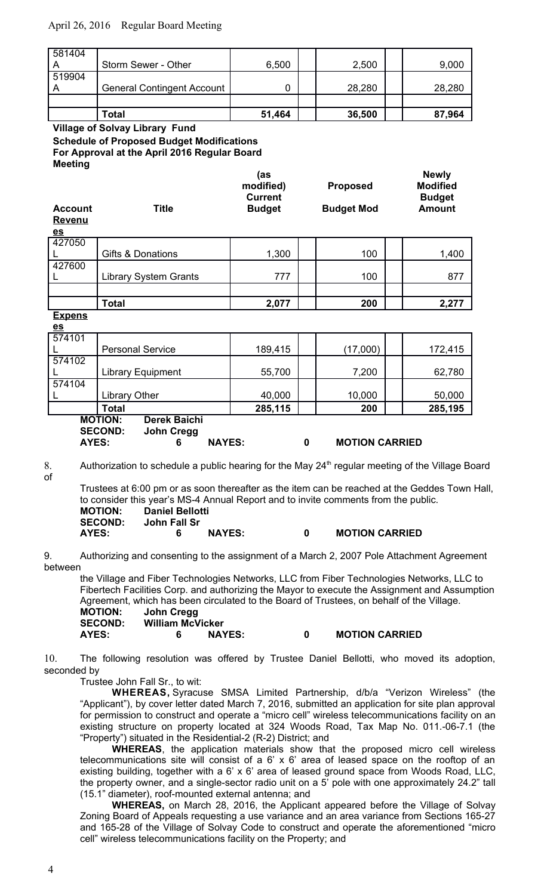## April 26, 2016 Regular Board Meeting

|        | Total                             | 51,464 | 36,500 | 87,964 |
|--------|-----------------------------------|--------|--------|--------|
|        |                                   |        |        |        |
| 519904 | <b>General Contingent Account</b> |        | 28,280 | 28,280 |
| 581404 | Storm Sewer - Other               | 6,500  | 2,500  | 9,000  |

**Village of Solvay Library Fund Schedule of Proposed Budget Modifications For Approval at the April 2016 Regular Board Meeting**

| <b>Account</b>   | <b>Title</b>                          | (as<br>modified)<br><b>Current</b><br><b>Budget</b> | <b>Proposed</b><br><b>Budget Mod</b> | <b>Newly</b><br><b>Modified</b><br><b>Budget</b><br><b>Amount</b> |
|------------------|---------------------------------------|-----------------------------------------------------|--------------------------------------|-------------------------------------------------------------------|
| <b>Revenu</b>    |                                       |                                                     |                                      |                                                                   |
| $\underline{es}$ |                                       |                                                     |                                      |                                                                   |
| 427050           |                                       |                                                     |                                      |                                                                   |
|                  | Gifts & Donations                     | 1,300                                               | 100                                  | 1,400                                                             |
| 427600           |                                       |                                                     |                                      |                                                                   |
| L                | <b>Library System Grants</b>          | 777                                                 | 100                                  | 877                                                               |
|                  |                                       |                                                     |                                      |                                                                   |
|                  | <b>Total</b>                          | 2,077                                               | 200                                  | 2,277                                                             |
| <b>Expens</b>    |                                       |                                                     |                                      |                                                                   |
| $\underline{es}$ |                                       |                                                     |                                      |                                                                   |
| 574101           |                                       |                                                     |                                      |                                                                   |
|                  | <b>Personal Service</b>               | 189,415                                             | (17,000)                             | 172,415                                                           |
| 574102           |                                       |                                                     |                                      |                                                                   |
|                  | <b>Library Equipment</b>              | 55,700                                              | 7,200                                | 62,780                                                            |
| 574104           |                                       |                                                     |                                      |                                                                   |
| L                | <b>Library Other</b>                  | 40,000                                              | 10,000                               | 50,000                                                            |
|                  | <b>Total</b>                          | 285,115                                             | 200                                  | 285,195                                                           |
|                  | <b>MOTION:</b><br><b>Derek Baichi</b> |                                                     |                                      |                                                                   |
|                  | <b>SECOND:</b><br><b>John Cregg</b>   |                                                     |                                      |                                                                   |
| <b>AYES:</b>     | <b>NAYES:</b><br>6                    |                                                     | <b>MOTION CARRIED</b><br>0           |                                                                   |

of

8. Authorization to schedule a public hearing for the May 24<sup>th</sup> regular meeting of the Village Board

Trustees at 6:00 pm or as soon thereafter as the item can be reached at the Geddes Town Hall, to consider this year's MS-4 Annual Report and to invite comments from the public. **MOTION: Daniel Bellotti**

| <b>SECOND:</b> | John Fall Sr |
|----------------|--------------|
| $\blacksquare$ |              |

# **AYES: 6 NAYES: 0 MOTION CARRIED**

9. Authorizing and consenting to the assignment of a March 2, 2007 Pole Attachment Agreement between

the Village and Fiber Technologies Networks, LLC from Fiber Technologies Networks, LLC to Fibertech Facilities Corp. and authorizing the Mayor to execute the Assignment and Assumption Agreement, which has been circulated to the Board of Trustees, on behalf of the Village.

| <b>MOTION:</b><br><b>SECOND:</b> | John Cregg<br><b>William McVicker</b> |               |                       |  |
|----------------------------------|---------------------------------------|---------------|-----------------------|--|
| AYES:                            |                                       | <b>NAYES:</b> | <b>MOTION CARRIED</b> |  |

10. The following resolution was offered by Trustee Daniel Bellotti, who moved its adoption, seconded by

Trustee John Fall Sr., to wit:

**WHEREAS,** Syracuse SMSA Limited Partnership, d/b/a "Verizon Wireless" (the "Applicant"), by cover letter dated March 7, 2016, submitted an application for site plan approval for permission to construct and operate a "micro cell" wireless telecommunications facility on an existing structure on property located at 324 Woods Road, Tax Map No. 011.-06-7.1 (the "Property") situated in the Residential-2 (R-2) District; and

**WHEREAS**, the application materials show that the proposed micro cell wireless telecommunications site will consist of a 6' x 6' area of leased space on the rooftop of an existing building, together with a 6' x 6' area of leased ground space from Woods Road, LLC, the property owner, and a single-sector radio unit on a 5' pole with one approximately 24.2" tall (15.1" diameter), roof-mounted external antenna; and

**WHEREAS,** on March 28, 2016, the Applicant appeared before the Village of Solvay Zoning Board of Appeals requesting a use variance and an area variance from Sections 165-27 and 165-28 of the Village of Solvay Code to construct and operate the aforementioned "micro cell" wireless telecommunications facility on the Property; and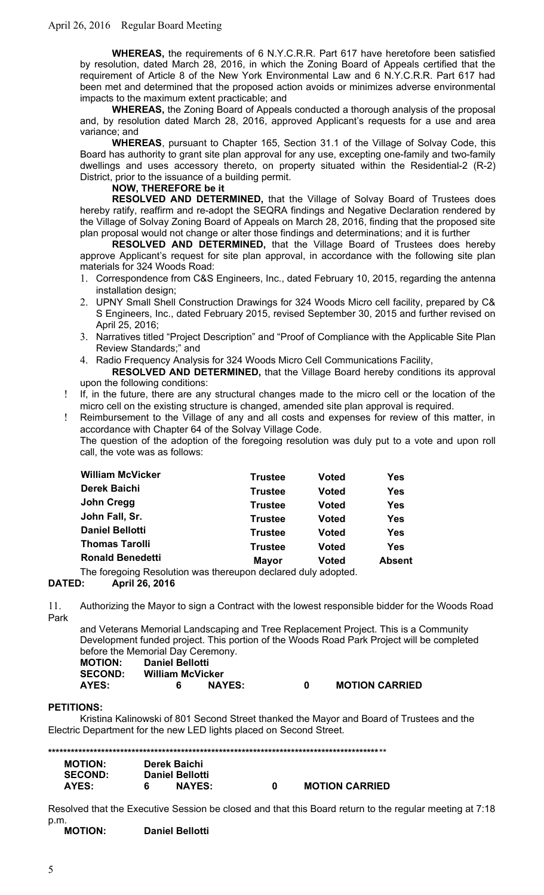**WHEREAS,** the requirements of 6 N.Y.C.R.R. Part 617 have heretofore been satisfied by resolution, dated March 28, 2016, in which the Zoning Board of Appeals certified that the requirement of Article 8 of the New York Environmental Law and 6 N.Y.C.R.R. Part 617 had been met and determined that the proposed action avoids or minimizes adverse environmental impacts to the maximum extent practicable; and

**WHEREAS,** the Zoning Board of Appeals conducted a thorough analysis of the proposal and, by resolution dated March 28, 2016, approved Applicant's requests for a use and area variance; and

**WHEREAS**, pursuant to Chapter 165, Section 31.1 of the Village of Solvay Code, this Board has authority to grant site plan approval for any use, excepting one-family and two-family dwellings and uses accessory thereto, on property situated within the Residential-2 (R-2) District, prior to the issuance of a building permit.

### **NOW, THEREFORE be it**

**RESOLVED AND DETERMINED,** that the Village of Solvay Board of Trustees does hereby ratify, reaffirm and re-adopt the SEQRA findings and Negative Declaration rendered by the Village of Solvay Zoning Board of Appeals on March 28, 2016, finding that the proposed site plan proposal would not change or alter those findings and determinations; and it is further

**RESOLVED AND DETERMINED,** that the Village Board of Trustees does hereby approve Applicant's request for site plan approval, in accordance with the following site plan materials for 324 Woods Road:

- 1. Correspondence from C&S Engineers, Inc., dated February 10, 2015, regarding the antenna installation design;
- 2. UPNY Small Shell Construction Drawings for 324 Woods Micro cell facility, prepared by C& S Engineers, Inc., dated February 2015, revised September 30, 2015 and further revised on April 25, 2016;
- 3. Narratives titled "Project Description" and "Proof of Compliance with the Applicable Site Plan Review Standards;" and
- 4. Radio Frequency Analysis for 324 Woods Micro Cell Communications Facility,

**RESOLVED AND DETERMINED,** that the Village Board hereby conditions its approval upon the following conditions:

- If, in the future, there are any structural changes made to the micro cell or the location of the micro cell on the existing structure is changed, amended site plan approval is required.
- Reimbursement to the Village of any and all costs and expenses for review of this matter, in accordance with Chapter 64 of the Solvay Village Code.

The question of the adoption of the foregoing resolution was duly put to a vote and upon roll call, the vote was as follows:

| <b>William McVicker</b> | <b>Trustee</b> | <b>Voted</b> | <b>Yes</b>    |
|-------------------------|----------------|--------------|---------------|
| <b>Derek Baichi</b>     | <b>Trustee</b> | <b>Voted</b> | <b>Yes</b>    |
| John Cregg              | <b>Trustee</b> | <b>Voted</b> | <b>Yes</b>    |
| John Fall, Sr.          | <b>Trustee</b> | <b>Voted</b> | <b>Yes</b>    |
| <b>Daniel Bellotti</b>  | <b>Trustee</b> | <b>Voted</b> | <b>Yes</b>    |
| <b>Thomas Tarolli</b>   | <b>Trustee</b> | <b>Voted</b> | <b>Yes</b>    |
| <b>Ronald Benedetti</b> | <b>Mayor</b>   | <b>Voted</b> | <b>Absent</b> |
|                         |                |              |               |

The foregoing Resolution was thereupon declared duly adopted.

## **DATED: April 26, 2016**

11. Authorizing the Mayor to sign a Contract with the lowest responsible bidder for the Woods Road Park

and Veterans Memorial Landscaping and Tree Replacement Project. This is a Community Development funded project. This portion of the Woods Road Park Project will be completed before the Memorial Day Ceremony. **MOTION: Daniel Bellotti**

| MUTIUN:        | <b>Daniel Bellotti</b> |               |                       |
|----------------|------------------------|---------------|-----------------------|
| <b>SECOND:</b> | William McVicker       |               |                       |
| AYES:          |                        | <b>NAYES:</b> | <b>MOTION CARRIED</b> |

#### **PETITIONS:**

Kristina Kalinowski of 801 Second Street thanked the Mayor and Board of Trustees and the Electric Department for the new LED lights placed on Second Street.

**\*\*\*\*\*\*\*\*\*\*\*\*\*\*\*\*\*\*\*\*\*\*\*\*\*\*\*\*\*\*\*\*\*\*\*\*\*\*\*\*\*\*\*\*\*\*\*\*\*\*\*\*\*\*\*\*\*\*\*\*\*\*\*\*\*\*\*\*\*\*\*\*\*\*\*\*\*\*\*\*\*\*\*\*\*\*\***\*\* **MOTION: Derek Baichi SECOND: Daniel Bellotti**

| ULVVIIV. | Panit Pendiu  |                       |
|----------|---------------|-----------------------|
| AYES:    | <b>NAYES:</b> | <b>MOTION CARRIED</b> |

Resolved that the Executive Session be closed and that this Board return to the regular meeting at 7:18 p.m.<br>**MOTION:** 

**Daniel Bellotti**